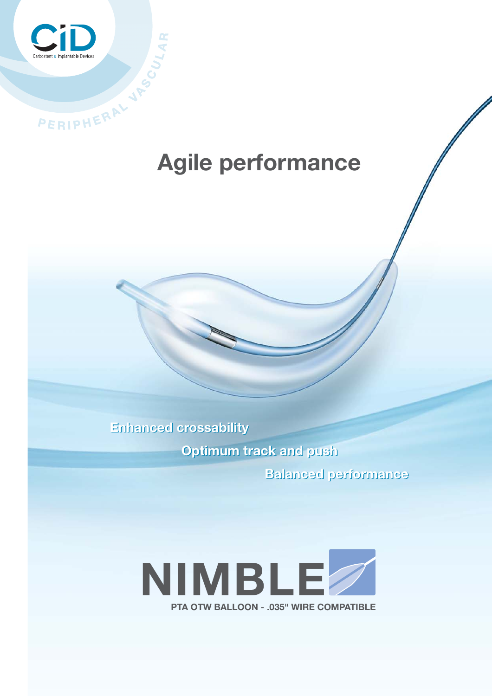

# **Agile performance**

**Enhanced crossability** 

**Optimum track and push** 

**Balanced performance**